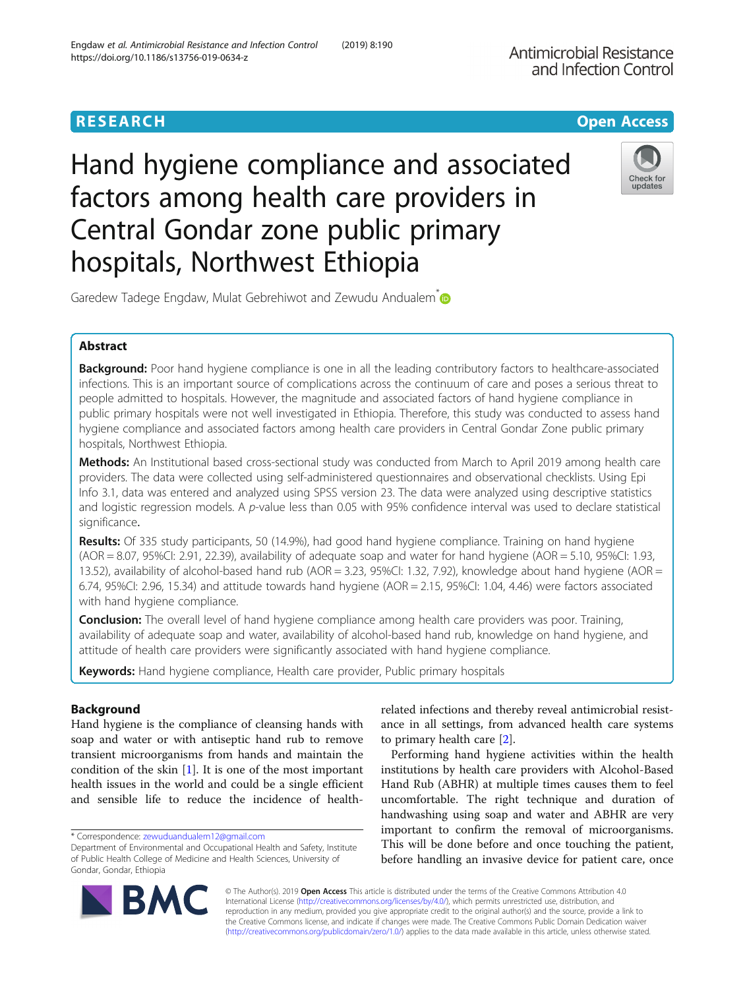# **RESEARCH CHE Open Access**

Hand hygiene compliance and associated factors among health care providers in Central Gondar zone public primary hospitals, Northwest Ethiopia



Garedew Tadege Engdaw, Mulat Gebrehiwot and Zewudu Andualem **D** 

# Abstract

Background: Poor hand hygiene compliance is one in all the leading contributory factors to healthcare-associated infections. This is an important source of complications across the continuum of care and poses a serious threat to people admitted to hospitals. However, the magnitude and associated factors of hand hygiene compliance in public primary hospitals were not well investigated in Ethiopia. Therefore, this study was conducted to assess hand hygiene compliance and associated factors among health care providers in Central Gondar Zone public primary hospitals, Northwest Ethiopia.

Methods: An Institutional based cross-sectional study was conducted from March to April 2019 among health care providers. The data were collected using self-administered questionnaires and observational checklists. Using Epi Info 3.1, data was entered and analyzed using SPSS version 23. The data were analyzed using descriptive statistics and logistic regression models. A p-value less than 0.05 with 95% confidence interval was used to declare statistical significance.

Results: Of 335 study participants, 50 (14.9%), had good hand hygiene compliance. Training on hand hygiene  $(AOR = 8.07, 95\%$ CI: 2.91, 22.39), availability of adequate soap and water for hand hygiene  $(AOR = 5.10, 95\%$ CI: 1.93, 13.52), availability of alcohol-based hand rub (AOR = 3.23, 95%CI: 1.32, 7.92), knowledge about hand hygiene (AOR = 6.74, 95%CI: 2.96, 15.34) and attitude towards hand hygiene (AOR = 2.15, 95%CI: 1.04, 4.46) were factors associated with hand hygiene compliance.

**Conclusion:** The overall level of hand hygiene compliance among health care providers was poor. Training, availability of adequate soap and water, availability of alcohol-based hand rub, knowledge on hand hygiene, and attitude of health care providers were significantly associated with hand hygiene compliance.

Keywords: Hand hygiene compliance, Health care provider, Public primary hospitals

# Background

Hand hygiene is the compliance of cleansing hands with soap and water or with antiseptic hand rub to remove transient microorganisms from hands and maintain the condition of the skin [[1\]](#page-6-0). It is one of the most important health issues in the world and could be a single efficient and sensible life to reduce the incidence of health-

\* Correspondence: [zewuduandualem12@gmail.com](mailto:zewuduandualem12@gmail.com)

BA

related infections and thereby reveal antimicrobial resistance in all settings, from advanced health care systems to primary health care [\[2\]](#page-6-0).

Performing hand hygiene activities within the health institutions by health care providers with Alcohol-Based Hand Rub (ABHR) at multiple times causes them to feel uncomfortable. The right technique and duration of handwashing using soap and water and ABHR are very important to confirm the removal of microorganisms. This will be done before and once touching the patient, before handling an invasive device for patient care, once

© The Author(s). 2019 **Open Access** This article is distributed under the terms of the Creative Commons Attribution 4.0 International License [\(http://creativecommons.org/licenses/by/4.0/](http://creativecommons.org/licenses/by/4.0/)), which permits unrestricted use, distribution, and reproduction in any medium, provided you give appropriate credit to the original author(s) and the source, provide a link to the Creative Commons license, and indicate if changes were made. The Creative Commons Public Domain Dedication waiver [\(http://creativecommons.org/publicdomain/zero/1.0/](http://creativecommons.org/publicdomain/zero/1.0/)) applies to the data made available in this article, unless otherwise stated.

Department of Environmental and Occupational Health and Safety, Institute of Public Health College of Medicine and Health Sciences, University of Gondar, Gondar, Ethiopia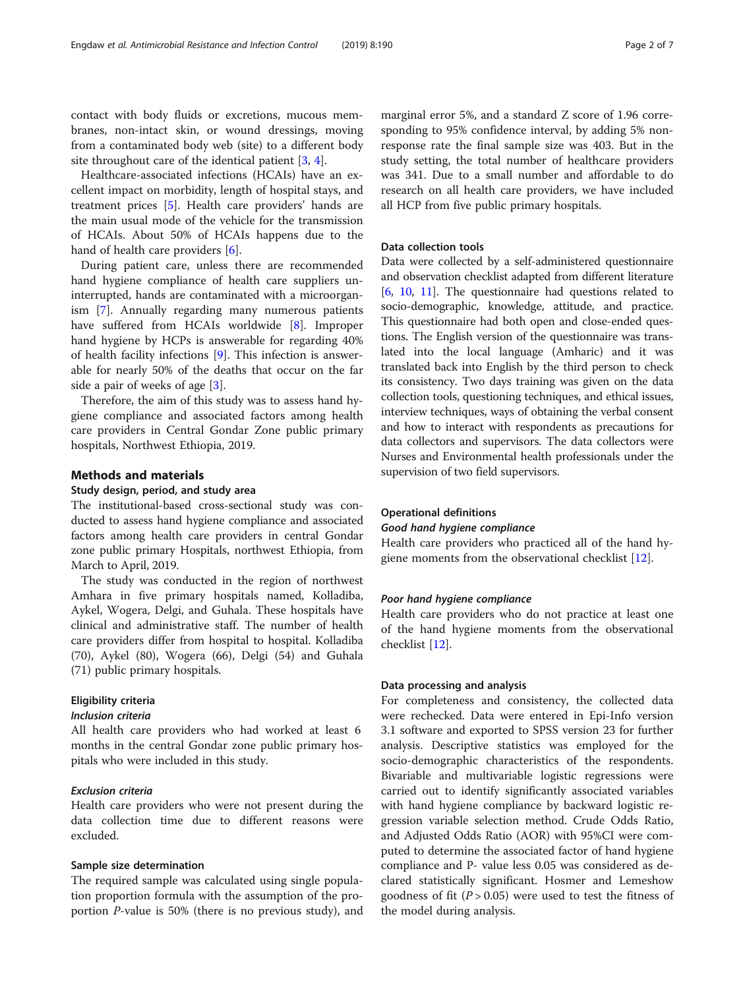contact with body fluids or excretions, mucous membranes, non-intact skin, or wound dressings, moving from a contaminated body web (site) to a different body site throughout care of the identical patient [\[3](#page-6-0), [4](#page-6-0)].

Healthcare-associated infections (HCAIs) have an excellent impact on morbidity, length of hospital stays, and treatment prices [\[5\]](#page-6-0). Health care providers' hands are the main usual mode of the vehicle for the transmission of HCAIs. About 50% of HCAIs happens due to the hand of health care providers [\[6\]](#page-6-0).

During patient care, unless there are recommended hand hygiene compliance of health care suppliers uninterrupted, hands are contaminated with a microorganism [\[7](#page-6-0)]. Annually regarding many numerous patients have suffered from HCAIs worldwide [[8\]](#page-6-0). Improper hand hygiene by HCPs is answerable for regarding 40% of health facility infections [[9\]](#page-6-0). This infection is answerable for nearly 50% of the deaths that occur on the far side a pair of weeks of age [\[3](#page-6-0)].

Therefore, the aim of this study was to assess hand hygiene compliance and associated factors among health care providers in Central Gondar Zone public primary hospitals, Northwest Ethiopia, 2019.

# Methods and materials

# Study design, period, and study area

The institutional-based cross-sectional study was conducted to assess hand hygiene compliance and associated factors among health care providers in central Gondar zone public primary Hospitals, northwest Ethiopia, from March to April, 2019.

The study was conducted in the region of northwest Amhara in five primary hospitals named, Kolladiba, Aykel, Wogera, Delgi, and Guhala. These hospitals have clinical and administrative staff. The number of health care providers differ from hospital to hospital. Kolladiba (70), Aykel (80), Wogera (66), Delgi (54) and Guhala (71) public primary hospitals.

# Eligibility criteria

# Inclusion criteria

All health care providers who had worked at least 6 months in the central Gondar zone public primary hospitals who were included in this study.

# Exclusion criteria

Health care providers who were not present during the data collection time due to different reasons were excluded.

# Sample size determination

The required sample was calculated using single population proportion formula with the assumption of the proportion P-value is 50% (there is no previous study), and

marginal error 5%, and a standard Z score of 1.96 corresponding to 95% confidence interval, by adding 5% nonresponse rate the final sample size was 403. But in the study setting, the total number of healthcare providers was 341. Due to a small number and affordable to do research on all health care providers, we have included all HCP from five public primary hospitals.

# Data collection tools

Data were collected by a self-administered questionnaire and observation checklist adapted from different literature [[6,](#page-6-0) [10](#page-6-0), [11\]](#page-6-0). The questionnaire had questions related to socio-demographic, knowledge, attitude, and practice. This questionnaire had both open and close-ended questions. The English version of the questionnaire was translated into the local language (Amharic) and it was translated back into English by the third person to check its consistency. Two days training was given on the data collection tools, questioning techniques, and ethical issues, interview techniques, ways of obtaining the verbal consent and how to interact with respondents as precautions for data collectors and supervisors. The data collectors were Nurses and Environmental health professionals under the supervision of two field supervisors.

#### Operational definitions

#### Good hand hygiene compliance

Health care providers who practiced all of the hand hygiene moments from the observational checklist [[12](#page-6-0)].

## Poor hand hygiene compliance

Health care providers who do not practice at least one of the hand hygiene moments from the observational checklist [\[12](#page-6-0)].

# Data processing and analysis

For completeness and consistency, the collected data were rechecked. Data were entered in Epi-Info version 3.1 software and exported to SPSS version 23 for further analysis. Descriptive statistics was employed for the socio-demographic characteristics of the respondents. Bivariable and multivariable logistic regressions were carried out to identify significantly associated variables with hand hygiene compliance by backward logistic regression variable selection method. Crude Odds Ratio, and Adjusted Odds Ratio (AOR) with 95%CI were computed to determine the associated factor of hand hygiene compliance and P- value less 0.05 was considered as declared statistically significant. Hosmer and Lemeshow goodness of fit ( $P > 0.05$ ) were used to test the fitness of the model during analysis.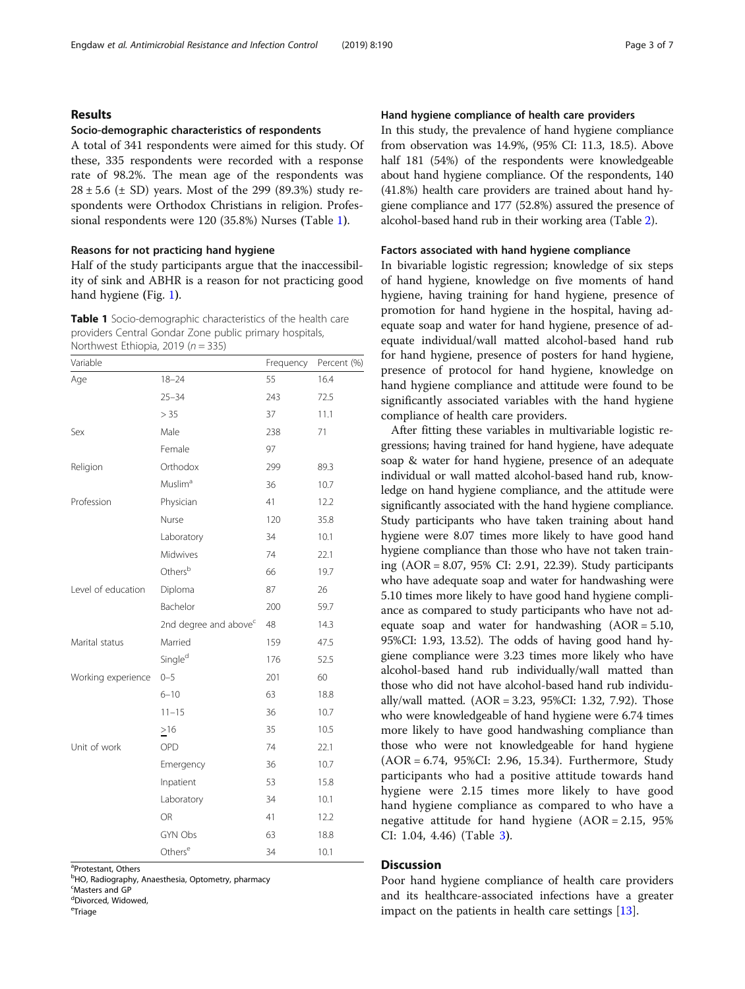# Results

### Socio-demographic characteristics of respondents

A total of 341 respondents were aimed for this study. Of these, 335 respondents were recorded with a response rate of 98.2%. The mean age of the respondents was  $28 \pm 5.6$  ( $\pm$  SD) years. Most of the 299 (89.3%) study respondents were Orthodox Christians in religion. Professional respondents were 120 (35.8%) Nurses (Table 1).

# Reasons for not practicing hand hygiene

Half of the study participants argue that the inaccessibility of sink and ABHR is a reason for not practicing good hand hygiene (Fig. [1](#page-3-0)).

Table 1 Socio-demographic characteristics of the health care providers Central Gondar Zone public primary hospitals, Northwest Ethiopia, 2019 ( $n = 335$ )

| Variable           |                                   | Frequency | Percent (%) |
|--------------------|-----------------------------------|-----------|-------------|
| Age                | $18 - 24$                         | 55        | 16.4        |
|                    | $25 - 34$                         | 243       | 72.5        |
|                    | > 35                              | 37        | 11.1        |
| Sex                | Male                              | 238       | 71          |
|                    | Female                            | 97        |             |
| Religion           | Orthodox                          | 299       | 89.3        |
|                    | Muslim <sup>a</sup>               | 36        | 10.7        |
| Profession         | Physician                         | 41        | 12.2        |
|                    | Nurse                             | 120       | 35.8        |
|                    | Laboratory                        | 34        | 10.1        |
|                    | Midwives                          | 74        | 22.1        |
|                    | Othersb                           | 66        | 19.7        |
| Level of education | Diploma                           | 87        | 26          |
|                    | Bachelor                          | 200       | 59.7        |
|                    | 2nd degree and above <sup>c</sup> | 48        | 14.3        |
| Marital status     | Married                           | 159       | 47.5        |
|                    | Single <sup>d</sup>               | 176       | 52.5        |
| Working experience | $0 - 5$                           | 201       | 60          |
|                    | $6 - 10$                          | 63        | 18.8        |
|                    | $11 - 15$                         | 36        | 10.7        |
|                    | $\geq 16$                         | 35        | 10.5        |
| Unit of work       | OPD                               | 74        | 22.1        |
|                    | Emergency                         | 36        | 10.7        |
|                    | Inpatient                         | 53        | 15.8        |
|                    | Laboratory                        | 34        | 10.1        |
|                    | OR                                | 41        | 12.2        |
|                    | <b>GYN Obs</b>                    | 63        | 18.8        |
|                    | Others <sup>e</sup>               | 34        | 10.1        |

<sup>a</sup>Protestant, Others

<sup>b</sup>HO, Radiography, Anaesthesia, Optometry, pharmacy

c Masters and GP

<sup>d</sup>Divorced, Widowed,

<sup>e</sup>Triage

### Hand hygiene compliance of health care providers

In this study, the prevalence of hand hygiene compliance from observation was 14.9%, (95% CI: 11.3, 18.5). Above half 181 (54%) of the respondents were knowledgeable about hand hygiene compliance. Of the respondents, 140 (41.8%) health care providers are trained about hand hygiene compliance and 177 (52.8%) assured the presence of alcohol-based hand rub in their working area (Table [2\)](#page-3-0).

# Factors associated with hand hygiene compliance

In bivariable logistic regression; knowledge of six steps of hand hygiene, knowledge on five moments of hand hygiene, having training for hand hygiene, presence of promotion for hand hygiene in the hospital, having adequate soap and water for hand hygiene, presence of adequate individual/wall matted alcohol-based hand rub for hand hygiene, presence of posters for hand hygiene, presence of protocol for hand hygiene, knowledge on hand hygiene compliance and attitude were found to be significantly associated variables with the hand hygiene compliance of health care providers.

After fitting these variables in multivariable logistic regressions; having trained for hand hygiene, have adequate soap & water for hand hygiene, presence of an adequate individual or wall matted alcohol-based hand rub, knowledge on hand hygiene compliance, and the attitude were significantly associated with the hand hygiene compliance. Study participants who have taken training about hand hygiene were 8.07 times more likely to have good hand hygiene compliance than those who have not taken training (AOR = 8.07, 95% CI: 2.91, 22.39). Study participants who have adequate soap and water for handwashing were 5.10 times more likely to have good hand hygiene compliance as compared to study participants who have not adequate soap and water for handwashing (AOR = 5.10, 95%CI: 1.93, 13.52). The odds of having good hand hygiene compliance were 3.23 times more likely who have alcohol-based hand rub individually/wall matted than those who did not have alcohol-based hand rub individually/wall matted. (AOR = 3.23, 95%CI: 1.32, 7.92). Those who were knowledgeable of hand hygiene were 6.74 times more likely to have good handwashing compliance than those who were not knowledgeable for hand hygiene (AOR = 6.74, 95%CI: 2.96, 15.34). Furthermore, Study participants who had a positive attitude towards hand hygiene were 2.15 times more likely to have good hand hygiene compliance as compared to who have a negative attitude for hand hygiene  $(AOR = 2.15, 95\%)$ CI: 1.04, 4.46) (Table [3](#page-4-0)).

# **Discussion**

Poor hand hygiene compliance of health care providers and its healthcare-associated infections have a greater impact on the patients in health care settings [[13\]](#page-6-0).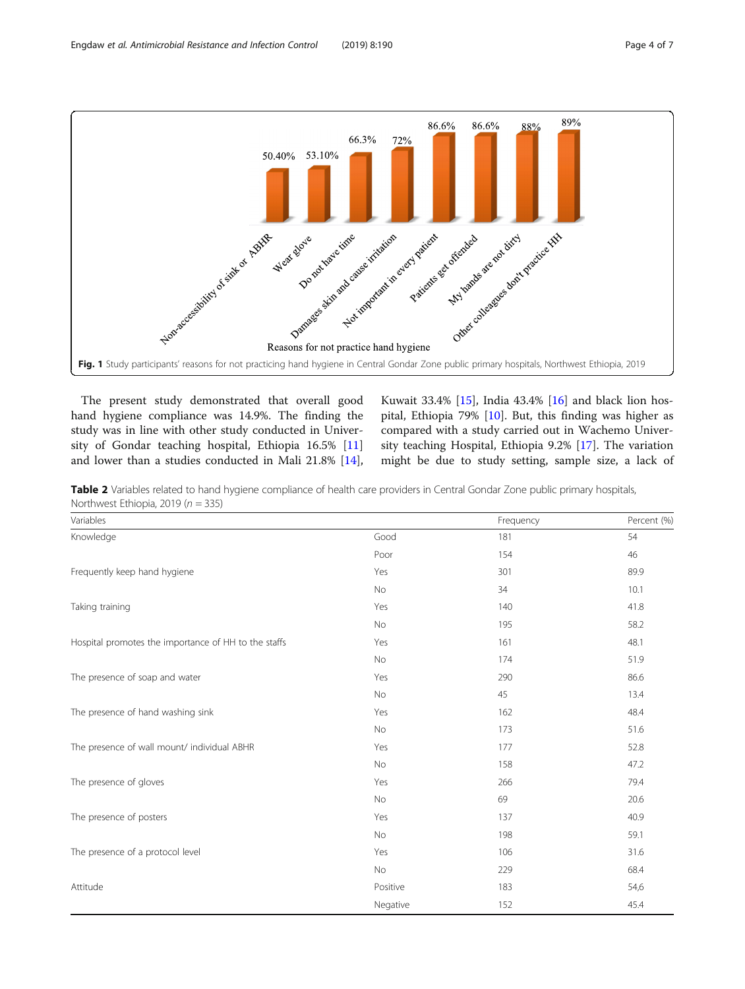<span id="page-3-0"></span>

The present study demonstrated that overall good hand hygiene compliance was 14.9%. The finding the study was in line with other study conducted in University of Gondar teaching hospital, Ethiopia 16.5% [[11](#page-6-0)] and lower than a studies conducted in Mali 21.8% [\[14](#page-6-0)],

Kuwait 33.4% [[15](#page-6-0)], India 43.4% [\[16](#page-6-0)] and black lion hospital, Ethiopia 79% [\[10](#page-6-0)]. But, this finding was higher as compared with a study carried out in Wachemo University teaching Hospital, Ethiopia 9.2% [[17\]](#page-6-0). The variation might be due to study setting, sample size, a lack of

Table 2 Variables related to hand hygiene compliance of health care providers in Central Gondar Zone public primary hospitals, Northwest Ethiopia, 2019 ( $n = 335$ )

| Variables                                            |           | Frequency | Percent (%) |
|------------------------------------------------------|-----------|-----------|-------------|
| Knowledge                                            | Good      | 181       | 54          |
|                                                      | Poor      | 154       | 46          |
| Frequently keep hand hygiene                         | Yes       | 301       | 89.9        |
|                                                      | No        | 34        | 10.1        |
| Taking training                                      | Yes       | 140       | 41.8        |
|                                                      | No        | 195       | 58.2        |
| Hospital promotes the importance of HH to the staffs | Yes       | 161       | 48.1        |
|                                                      | No        | 174       | 51.9        |
| The presence of soap and water                       | Yes       | 290       | 86.6        |
|                                                      | No        | 45        | 13.4        |
| The presence of hand washing sink                    | Yes       | 162       | 48.4        |
|                                                      | No        | 173       | 51.6        |
| The presence of wall mount/ individual ABHR          | Yes       | 177       | 52.8        |
|                                                      | <b>No</b> | 158       | 47.2        |
| The presence of gloves                               | Yes       | 266       | 79.4        |
|                                                      | No        | 69        | 20.6        |
| The presence of posters                              | Yes       | 137       | 40.9        |
|                                                      | No        | 198       | 59.1        |
| The presence of a protocol level                     | Yes       | 106       | 31.6        |
|                                                      | No        | 229       | 68.4        |
| Attitude                                             | Positive  | 183       | 54,6        |
|                                                      | Negative  | 152       | 45.4        |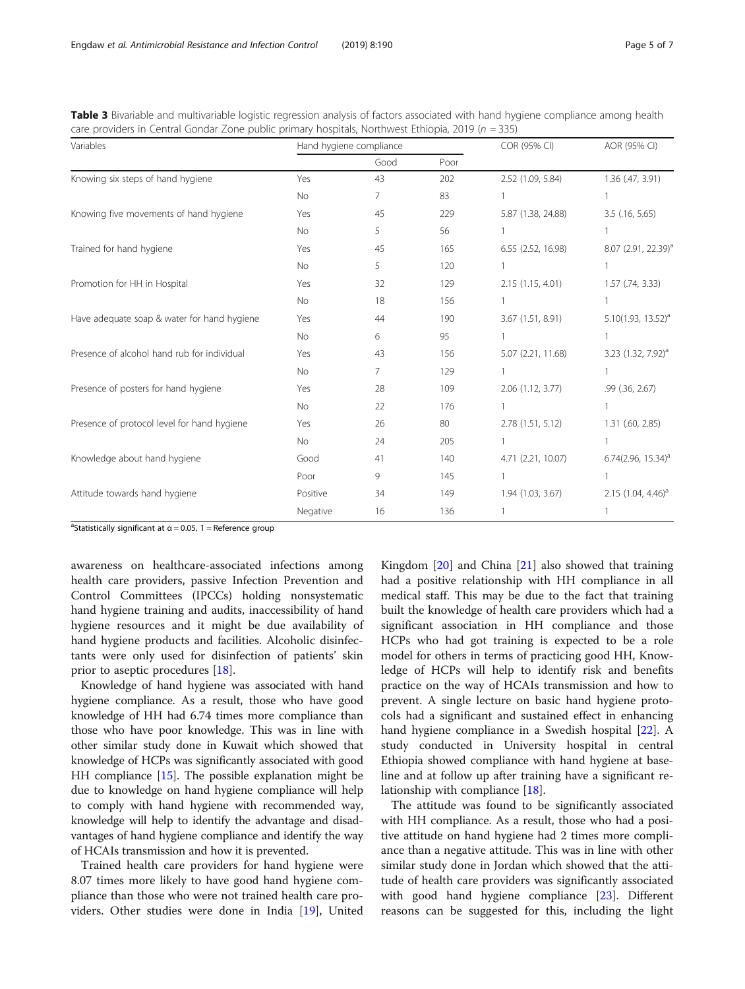| Variables                                   | Hand hygiene compliance |      |      | COR (95% CI)       | AOR (95% CI)                    |
|---------------------------------------------|-------------------------|------|------|--------------------|---------------------------------|
|                                             |                         | Good | Poor |                    |                                 |
| Knowing six steps of hand hygiene           | Yes                     | 43   | 202  | 2.52 (1.09, 5.84)  | 1.36 (.47, 3.91)                |
|                                             | No.                     | 7    | 83   |                    |                                 |
| Knowing five movements of hand hygiene      | Yes                     | 45   | 229  | 5.87 (1.38, 24.88) | $3.5$ (.16, 5.65)               |
|                                             | No.                     | 5    | 56   |                    |                                 |
| Trained for hand hygiene                    | Yes                     | 45   | 165  | 6.55 (2.52, 16.98) | 8.07 (2.91, 22.39) <sup>a</sup> |
|                                             | <b>No</b>               | 5    | 120  |                    |                                 |
| Promotion for HH in Hospital                | Yes                     | 32   | 129  | 2.15 (1.15, 4.01)  | $1.57$ (.74, 3.33)              |
|                                             | No                      | 18   | 156  |                    |                                 |
| Have adequate soap & water for hand hygiene | Yes                     | 44   | 190  | 3.67 (1.51, 8.91)  | 5.10 $(1.93, 13.52)^a$          |
|                                             | <b>No</b>               | 6    | 95   |                    |                                 |

Presence of alcohol hand rub for individual Yes 43 156 5.07 (2.21, 11.68) 3.23 (1.32, 7.92)<sup>a</sup>

Presence of posters for hand hygiene Yes 28 109 2.06 (1.12, 3.77) .99 (36, 2.67)

Presence of protocol level for hand hygiene Yes 26 80 2.78 (1.51, 5.12) 1.31 (.60, 2.85)

Knowledge about hand hygiene The Good 41 140 4.71 (2.21, 10.07) 6.74 (2.96, 15.34)<sup>a</sup>

Attitude towards hand hygiene **1.94** 1.94 (1.03, 3.67) 2.15 (1.04, 4.46)<sup>a</sup> 1.94 (1.03, 3.67) 2.15 (1.04, 4.46)<sup>a</sup>

No 7 129 1 1 1

No 22 176 1 1

No 24 205 1 20 1

Poor 9 145 1 1

Negative 16 136 1

<span id="page-4-0"></span>Table 3 Bivariable and multivariable logistic regression analysis of factors associated with hand hygiene compliance among health  $c$ are providers in Central Gondar Zone public primary hospitals, Northwest Ethiopia, 2019 (n = 335)

 $a^a$ Statistically significant at  $a = 0.05$ , 1 = Reference group

awareness on healthcare-associated infections among health care providers, passive Infection Prevention and Control Committees (IPCCs) holding nonsystematic hand hygiene training and audits, inaccessibility of hand hygiene resources and it might be due availability of hand hygiene products and facilities. Alcoholic disinfectants were only used for disinfection of patients' skin prior to aseptic procedures [\[18](#page-6-0)].

Knowledge of hand hygiene was associated with hand hygiene compliance. As a result, those who have good knowledge of HH had 6.74 times more compliance than those who have poor knowledge. This was in line with other similar study done in Kuwait which showed that knowledge of HCPs was significantly associated with good HH compliance [[15](#page-6-0)]. The possible explanation might be due to knowledge on hand hygiene compliance will help to comply with hand hygiene with recommended way, knowledge will help to identify the advantage and disadvantages of hand hygiene compliance and identify the way of HCAIs transmission and how it is prevented.

Trained health care providers for hand hygiene were 8.07 times more likely to have good hand hygiene compliance than those who were not trained health care providers. Other studies were done in India [\[19](#page-6-0)], United

Kingdom [\[20](#page-6-0)] and China [\[21\]](#page-6-0) also showed that training had a positive relationship with HH compliance in all medical staff. This may be due to the fact that training built the knowledge of health care providers which had a significant association in HH compliance and those HCPs who had got training is expected to be a role model for others in terms of practicing good HH, Knowledge of HCPs will help to identify risk and benefits practice on the way of HCAIs transmission and how to prevent. A single lecture on basic hand hygiene protocols had a significant and sustained effect in enhancing hand hygiene compliance in a Swedish hospital [\[22](#page-6-0)]. A study conducted in University hospital in central Ethiopia showed compliance with hand hygiene at baseline and at follow up after training have a significant relationship with compliance [\[18](#page-6-0)].

The attitude was found to be significantly associated with HH compliance. As a result, those who had a positive attitude on hand hygiene had 2 times more compliance than a negative attitude. This was in line with other similar study done in Jordan which showed that the attitude of health care providers was significantly associated with good hand hygiene compliance [[23\]](#page-6-0). Different reasons can be suggested for this, including the light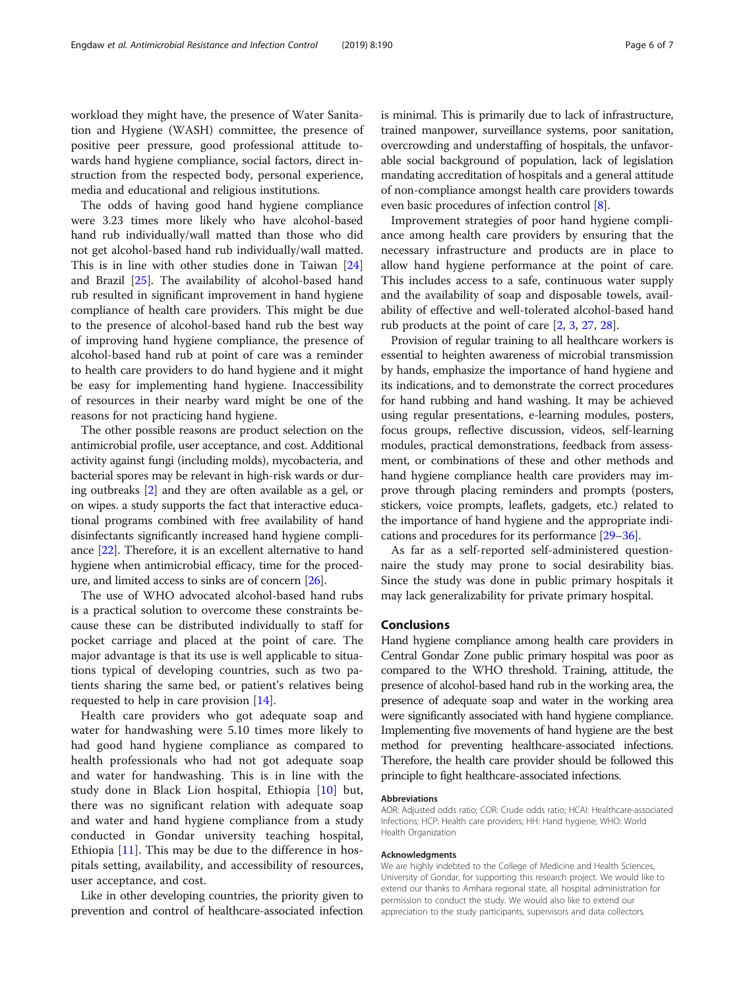workload they might have, the presence of Water Sanitation and Hygiene (WASH) committee, the presence of positive peer pressure, good professional attitude towards hand hygiene compliance, social factors, direct instruction from the respected body, personal experience, media and educational and religious institutions.

The odds of having good hand hygiene compliance were 3.23 times more likely who have alcohol-based hand rub individually/wall matted than those who did not get alcohol-based hand rub individually/wall matted. This is in line with other studies done in Taiwan [[24](#page-6-0)] and Brazil [[25\]](#page-6-0). The availability of alcohol-based hand rub resulted in significant improvement in hand hygiene compliance of health care providers. This might be due to the presence of alcohol-based hand rub the best way of improving hand hygiene compliance, the presence of alcohol-based hand rub at point of care was a reminder to health care providers to do hand hygiene and it might be easy for implementing hand hygiene. Inaccessibility of resources in their nearby ward might be one of the reasons for not practicing hand hygiene.

The other possible reasons are product selection on the antimicrobial profile, user acceptance, and cost. Additional activity against fungi (including molds), mycobacteria, and bacterial spores may be relevant in high-risk wards or during outbreaks [\[2](#page-6-0)] and they are often available as a gel, or on wipes. a study supports the fact that interactive educational programs combined with free availability of hand disinfectants significantly increased hand hygiene compliance [\[22\]](#page-6-0). Therefore, it is an excellent alternative to hand hygiene when antimicrobial efficacy, time for the procedure, and limited access to sinks are of concern [\[26](#page-6-0)].

The use of WHO advocated alcohol-based hand rubs is a practical solution to overcome these constraints because these can be distributed individually to staff for pocket carriage and placed at the point of care. The major advantage is that its use is well applicable to situations typical of developing countries, such as two patients sharing the same bed, or patient's relatives being requested to help in care provision [[14](#page-6-0)].

Health care providers who got adequate soap and water for handwashing were 5.10 times more likely to had good hand hygiene compliance as compared to health professionals who had not got adequate soap and water for handwashing. This is in line with the study done in Black Lion hospital, Ethiopia [\[10](#page-6-0)] but, there was no significant relation with adequate soap and water and hand hygiene compliance from a study conducted in Gondar university teaching hospital, Ethiopia [[11\]](#page-6-0). This may be due to the difference in hospitals setting, availability, and accessibility of resources, user acceptance, and cost.

Like in other developing countries, the priority given to prevention and control of healthcare-associated infection is minimal. This is primarily due to lack of infrastructure, trained manpower, surveillance systems, poor sanitation, overcrowding and understaffing of hospitals, the unfavorable social background of population, lack of legislation mandating accreditation of hospitals and a general attitude of non-compliance amongst health care providers towards even basic procedures of infection control [[8\]](#page-6-0).

Improvement strategies of poor hand hygiene compliance among health care providers by ensuring that the necessary infrastructure and products are in place to allow hand hygiene performance at the point of care. This includes access to a safe, continuous water supply and the availability of soap and disposable towels, availability of effective and well-tolerated alcohol-based hand rub products at the point of care [\[2](#page-6-0), [3](#page-6-0), [27](#page-6-0), [28\]](#page-6-0).

Provision of regular training to all healthcare workers is essential to heighten awareness of microbial transmission by hands, emphasize the importance of hand hygiene and its indications, and to demonstrate the correct procedures for hand rubbing and hand washing. It may be achieved using regular presentations, e-learning modules, posters, focus groups, reflective discussion, videos, self-learning modules, practical demonstrations, feedback from assessment, or combinations of these and other methods and hand hygiene compliance health care providers may improve through placing reminders and prompts (posters, stickers, voice prompts, leaflets, gadgets, etc.) related to the importance of hand hygiene and the appropriate indications and procedures for its performance [\[29](#page-6-0)–[36](#page-6-0)].

As far as a self-reported self-administered questionnaire the study may prone to social desirability bias. Since the study was done in public primary hospitals it may lack generalizability for private primary hospital.

## Conclusions

Hand hygiene compliance among health care providers in Central Gondar Zone public primary hospital was poor as compared to the WHO threshold. Training, attitude, the presence of alcohol-based hand rub in the working area, the presence of adequate soap and water in the working area were significantly associated with hand hygiene compliance. Implementing five movements of hand hygiene are the best method for preventing healthcare-associated infections. Therefore, the health care provider should be followed this principle to fight healthcare-associated infections.

#### Abbreviations

AOR: Adjusted odds ratio; COR: Crude odds ratio; HCAI: Healthcare-associated Infections; HCP: Health care providers; HH: Hand hygiene; WHO: World Health Organization

#### Acknowledgments

We are highly indebted to the College of Medicine and Health Sciences, University of Gondar, for supporting this research project. We would like to extend our thanks to Amhara regional state, all hospital administration for permission to conduct the study. We would also like to extend our appreciation to the study participants, supervisors and data collectors.